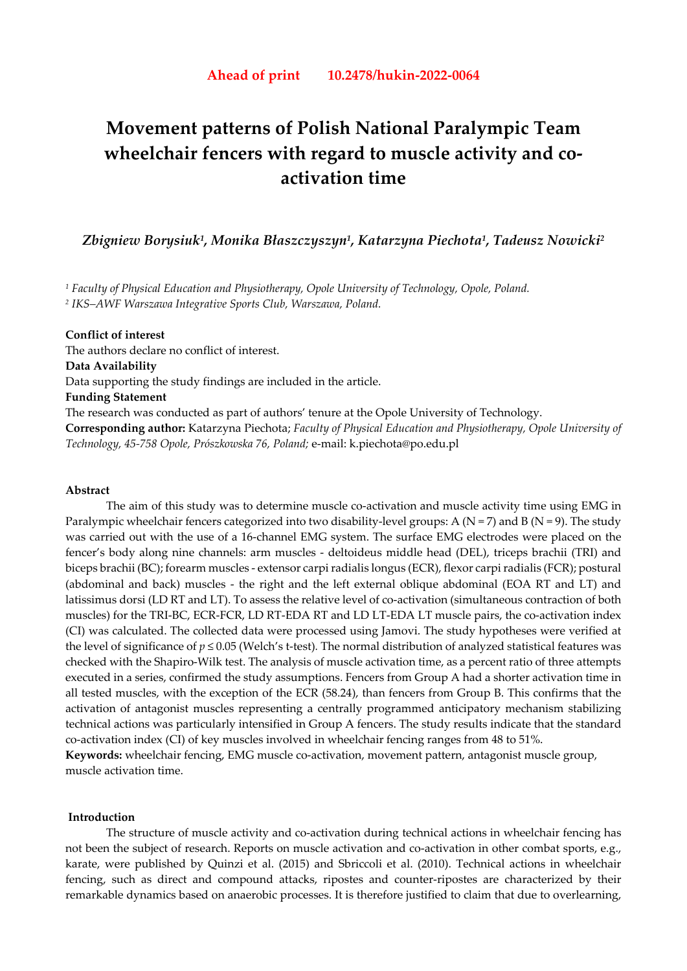# **Movement patterns of Polish National Paralympic Team wheelchair fencers with regard to muscle activity and coactivation time**

*Zbigniew Borysiuk1, Monika Błaszczyszyn1, Katarzyna Piechota1, Tadeusz Nowicki2*

*1 Faculty of Physical Education and Physiotherapy, Opole University of Technology, Opole, Poland. 2 IKS–AWF Warszawa Integrative Sports Club, Warszawa, Poland.* 

## **Conflict of interest**

The authors declare no conflict of interest. **Data Availability**  Data supporting the study findings are included in the article. **Funding Statement** The research was conducted as part of authors' tenure at the Opole University of Technology. **Corresponding author:** Katarzyna Piechota; *Faculty of Physical Education and Physiotherapy, Opole University of Technology, 45-758 Opole, Prószkowska 76, Poland;* e-mail: k.piechota@po.edu.pl

# **Abstract**

The aim of this study was to determine muscle co-activation and muscle activity time using EMG in Paralympic wheelchair fencers categorized into two disability-level groups: A ( $N = 7$ ) and B ( $N = 9$ ). The study was carried out with the use of a 16-channel EMG system. The surface EMG electrodes were placed on the fencer's body along nine channels: arm muscles - deltoideus middle head (DEL), triceps brachii (TRI) and biceps brachii (BC); forearm muscles - extensor carpi radialis longus (ECR), flexor carpi radialis (FCR); postural (abdominal and back) muscles - the right and the left external oblique abdominal (EOA RT and LT) and latissimus dorsi (LD RT and LT). To assess the relative level of co-activation (simultaneous contraction of both muscles) for the TRI-BC, ECR-FCR, LD RT-EDA RT and LD LT-EDA LT muscle pairs, the co-activation index (CI) was calculated. The collected data were processed using Jamovi. The study hypotheses were verified at the level of significance of *p* ≤ 0.05 (Welch's t-test)*.* The normal distribution of analyzed statistical features was checked with the Shapiro-Wilk test. The analysis of muscle activation time, as a percent ratio of three attempts executed in a series, confirmed the study assumptions. Fencers from Group A had a shorter activation time in all tested muscles, with the exception of the ECR (58.24), than fencers from Group B. This confirms that the activation of antagonist muscles representing a centrally programmed anticipatory mechanism stabilizing technical actions was particularly intensified in Group A fencers. The study results indicate that the standard co-activation index (CI) of key muscles involved in wheelchair fencing ranges from 48 to 51%.

**Keywords:** wheelchair fencing, EMG muscle co-activation, movement pattern, antagonist muscle group, muscle activation time.

# **Introduction**

 The structure of muscle activity and co-activation during technical actions in wheelchair fencing has not been the subject of research. Reports on muscle activation and co-activation in other combat sports, e.g., karate, were published by Quinzi et al. (2015) and Sbriccoli et al. (2010). Technical actions in wheelchair fencing, such as direct and compound attacks, ripostes and counter-ripostes are characterized by their remarkable dynamics based on anaerobic processes. It is therefore justified to claim that due to overlearning,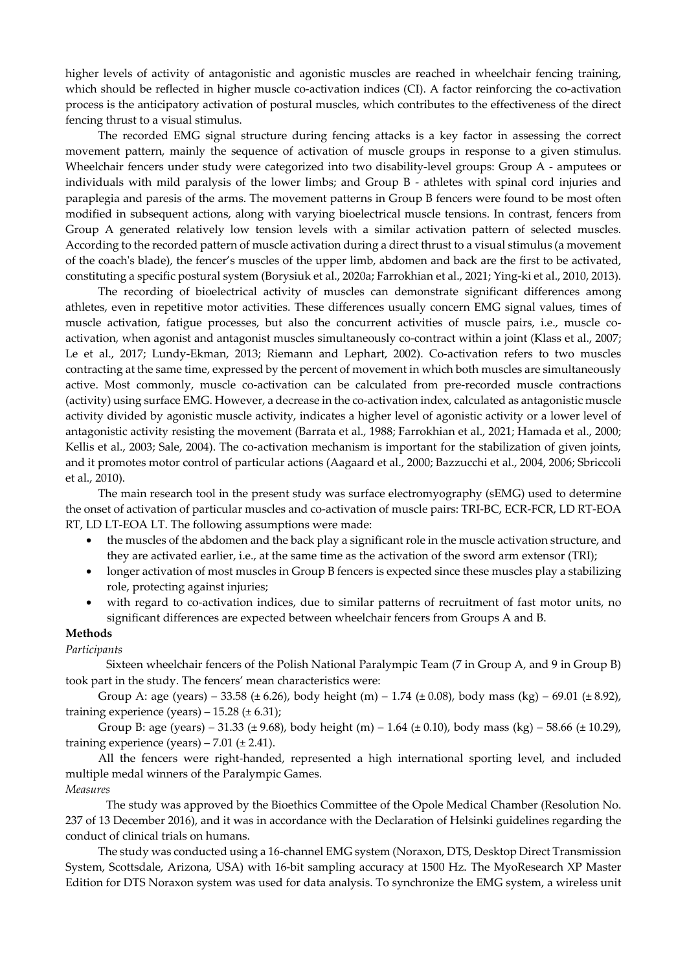higher levels of activity of antagonistic and agonistic muscles are reached in wheelchair fencing training, which should be reflected in higher muscle co-activation indices (CI). A factor reinforcing the co-activation process is the anticipatory activation of postural muscles, which contributes to the effectiveness of the direct fencing thrust to a visual stimulus.

The recorded EMG signal structure during fencing attacks is a key factor in assessing the correct movement pattern, mainly the sequence of activation of muscle groups in response to a given stimulus. Wheelchair fencers under study were categorized into two disability-level groups: Group A - amputees or individuals with mild paralysis of the lower limbs; and Group B - athletes with spinal cord injuries and paraplegia and paresis of the arms. The movement patterns in Group B fencers were found to be most often modified in subsequent actions, along with varying bioelectrical muscle tensions. In contrast, fencers from Group A generated relatively low tension levels with a similar activation pattern of selected muscles. According to the recorded pattern of muscle activation during a direct thrust to a visual stimulus (a movement of the coach's blade), the fencer's muscles of the upper limb, abdomen and back are the first to be activated, constituting a specific postural system (Borysiuk et al., 2020a; Farrokhian et al., 2021; Ying-ki et al., 2010, 2013).

The recording of bioelectrical activity of muscles can demonstrate significant differences among athletes, even in repetitive motor activities. These differences usually concern EMG signal values, times of muscle activation, fatigue processes, but also the concurrent activities of muscle pairs, i.e., muscle coactivation, when agonist and antagonist muscles simultaneously co-contract within a joint (Klass et al., 2007; Le et al., 2017; Lundy-Ekman, 2013; Riemann and Lephart, 2002). Co-activation refers to two muscles contracting at the same time, expressed by the percent of movement in which both muscles are simultaneously active. Most commonly, muscle co-activation can be calculated from pre-recorded muscle contractions (activity) using surface EMG. However, a decrease in the co-activation index, calculated as antagonistic muscle activity divided by agonistic muscle activity, indicates a higher level of agonistic activity or a lower level of antagonistic activity resisting the movement (Barrata et al., 1988; Farrokhian et al., 2021; Hamada et al., 2000; Kellis et al., 2003; Sale, 2004). The co-activation mechanism is important for the stabilization of given joints, and it promotes motor control of particular actions (Aagaard et al., 2000; Bazzucchi et al., 2004, 2006; Sbriccoli et al., 2010).

The main research tool in the present study was surface electromyography (sEMG) used to determine the onset of activation of particular muscles and co-activation of muscle pairs: TRI-BC, ECR-FCR, LD RT-EOA RT, LD LT-EOA LT. The following assumptions were made:

- the muscles of the abdomen and the back play a significant role in the muscle activation structure, and they are activated earlier, i.e., at the same time as the activation of the sword arm extensor (TRI);
- longer activation of most muscles in Group B fencers is expected since these muscles play a stabilizing role, protecting against injuries;
- with regard to co-activation indices, due to similar patterns of recruitment of fast motor units, no significant differences are expected between wheelchair fencers from Groups A and B.

# **Methods**

#### *Participants*

 Sixteen wheelchair fencers of the Polish National Paralympic Team (7 in Group A, and 9 in Group B) took part in the study. The fencers' mean characteristics were:

Group A: age (years) – 33.58 ( $\pm$  6.26), body height (m) – 1.74 ( $\pm$  0.08), body mass (kg) – 69.01 ( $\pm$  8.92), training experience (years)  $-15.28 \ (\pm 6.31)$ ;

Group B: age (years) – 31.33 ( $\pm$  9.68), body height (m) – 1.64 ( $\pm$  0.10), body mass (kg) – 58.66 ( $\pm$  10.29), training experience (years) – 7.01 ( $\pm$  2.41).

All the fencers were right-handed, represented a high international sporting level, and included multiple medal winners of the Paralympic Games.

# *Measures*

 The study was approved by the Bioethics Committee of the Opole Medical Chamber (Resolution No. 237 of 13 December 2016), and it was in accordance with the Declaration of Helsinki guidelines regarding the conduct of clinical trials on humans.

The study was conducted using a 16-channel EMG system (Noraxon, DTS, Desktop Direct Transmission System, Scottsdale, Arizona, USA) with 16-bit sampling accuracy at 1500 Hz. The MyoResearch XP Master Edition for DTS Noraxon system was used for data analysis. To synchronize the EMG system, a wireless unit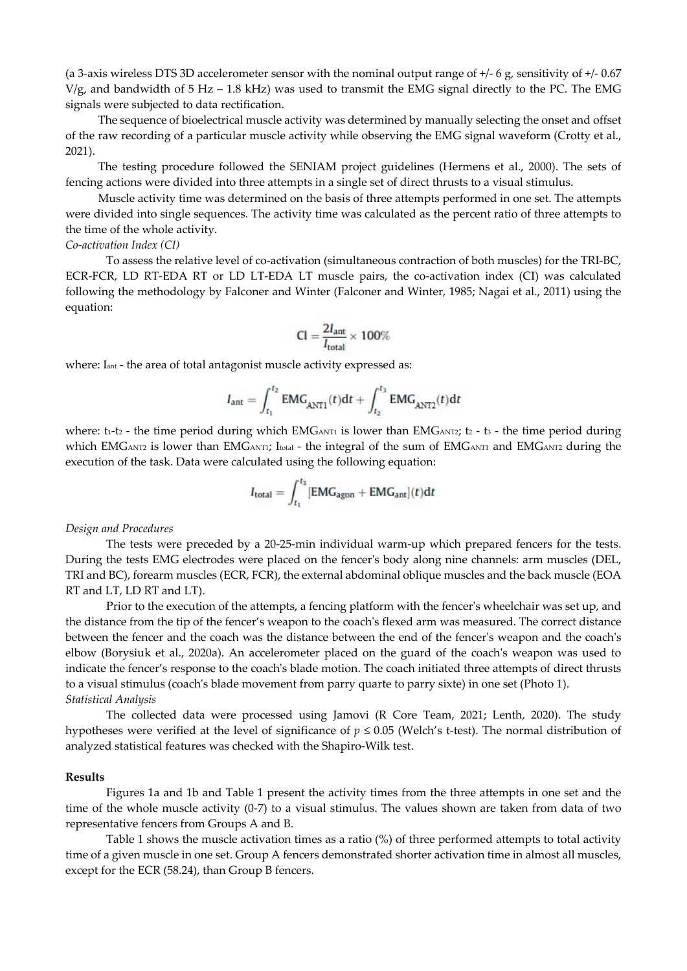(a 3-axis wireless DTS 3D accelerometer sensor with the nominal output range of +/- 6 g, sensitivity of +/- 0.67 V/g, and bandwidth of 5 Hz – 1.8 kHz) was used to transmit the EMG signal directly to the PC. The EMG signals were subjected to data rectification.

The sequence of bioelectrical muscle activity was determined by manually selecting the onset and offset of the raw recording of a particular muscle activity while observing the EMG signal waveform (Crotty et al., 2021).

The testing procedure followed the SENIAM project guidelines (Hermens et al., 2000). The sets of fencing actions were divided into three attempts in a single set of direct thrusts to a visual stimulus.

Muscle activity time was determined on the basis of three attempts performed in one set. The attempts were divided into single sequences. The activity time was calculated as the percent ratio of three attempts to the time of the whole activity.

#### *Co-activation Index (CI)*

To assess the relative level of co-activation (simultaneous contraction of both muscles) for the TRI-BC, ECR-FCR, LD RT-EDA RT or LD LT-EDA LT muscle pairs, the co-activation index (CI) was calculated following the methodology by Falconer and Winter (Falconer and Winter, 1985; Nagai et al., 2011) using the equation:

$$
CI = \frac{2I_{ant}}{I_{total}} \times 100\%
$$

where: I<sub>ant</sub> - the area of total antagonist muscle activity expressed as:

$$
I_{\text{ant}} = \int_{t_1}^{t_2} \text{EMG}_{\text{ANT1}}(t)dt + \int_{t_2}^{t_3} \text{EMG}_{\text{ANT2}}(t)dt
$$

where:  $t_1-t_2$  - the time period during which  $EMG_{\text{ANT1}}$  is lower than  $EMG_{\text{ANT2}}$ ;  $t_2$  -  $t_3$  - the time period during which EMGANT2 is lower than EMGANT1; Itotal - the integral of the sum of EMGANT1 and EMGANT2 during the execution of the task. Data were calculated using the following equation:

$$
I_{\text{total}} = \int_{t_1}^{t_3} [\text{EMG}_{\text{agon}} + \text{EMG}_{\text{ant}}](t) dt
$$

#### *Design and Procedures*

 The tests were preceded by a 20-25-min individual warm-up which prepared fencers for the tests. During the tests EMG electrodes were placed on the fencer's body along nine channels: arm muscles (DEL, TRI and BC), forearm muscles (ECR, FCR), the external abdominal oblique muscles and the back muscle (EOA RT and LT, LD RT and LT).

Prior to the execution of the attempts, a fencing platform with the fencer's wheelchair was set up, and the distance from the tip of the fencer's weapon to the coach's flexed arm was measured. The correct distance between the fencer and the coach was the distance between the end of the fencer's weapon and the coach's elbow (Borysiuk et al., 2020a). An accelerometer placed on the guard of the coach's weapon was used to indicate the fencer's response to the coach's blade motion. The coach initiated three attempts of direct thrusts to a visual stimulus (coach's blade movement from parry quarte to parry sixte) in one set (Photo 1). *Statistical Analysis* 

 The collected data were processed using Jamovi (R Core Team, 2021; Lenth, 2020). The study hypotheses were verified at the level of significance of *p* ≤ 0.05 (Welch's t-test)*.* The normal distribution of analyzed statistical features was checked with the Shapiro-Wilk test.

### **Results**

Figures 1a and 1b and Table 1 present the activity times from the three attempts in one set and the time of the whole muscle activity (0-7) to a visual stimulus. The values shown are taken from data of two representative fencers from Groups A and B.

 Table 1 shows the muscle activation times as a ratio (%) of three performed attempts to total activity time of a given muscle in one set. Group A fencers demonstrated shorter activation time in almost all muscles, except for the ECR (58.24), than Group B fencers.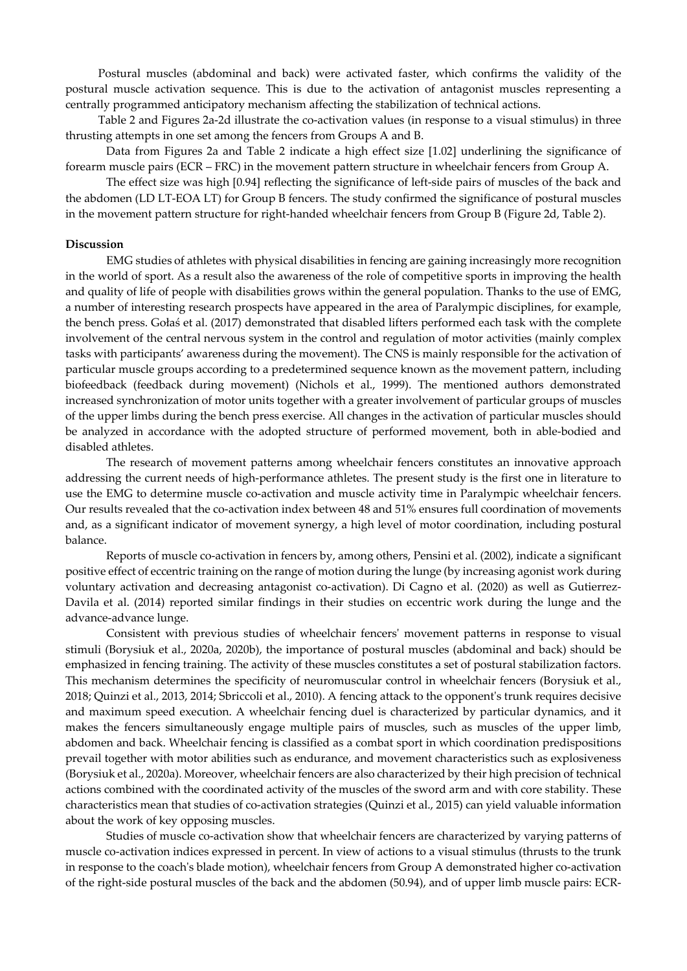Postural muscles (abdominal and back) were activated faster, which confirms the validity of the postural muscle activation sequence. This is due to the activation of antagonist muscles representing a centrally programmed anticipatory mechanism affecting the stabilization of technical actions.

Table 2 and Figures 2a-2d illustrate the co-activation values (in response to a visual stimulus) in three thrusting attempts in one set among the fencers from Groups A and B.

Data from Figures 2a and Table 2 indicate a high effect size [1.02] underlining the significance of forearm muscle pairs (ECR – FRC) in the movement pattern structure in wheelchair fencers from Group A.

The effect size was high [0.94] reflecting the significance of left-side pairs of muscles of the back and the abdomen (LD LT-EOA LT) for Group B fencers. The study confirmed the significance of postural muscles in the movement pattern structure for right-handed wheelchair fencers from Group B (Figure 2d, Table 2).

#### **Discussion**

EMG studies of athletes with physical disabilities in fencing are gaining increasingly more recognition in the world of sport. As a result also the awareness of the role of competitive sports in improving the health and quality of life of people with disabilities grows within the general population. Thanks to the use of EMG, a number of interesting research prospects have appeared in the area of Paralympic disciplines, for example, the bench press. Gołaś et al. (2017) demonstrated that disabled lifters performed each task with the complete involvement of the central nervous system in the control and regulation of motor activities (mainly complex tasks with participants' awareness during the movement). The CNS is mainly responsible for the activation of particular muscle groups according to a predetermined sequence known as the movement pattern, including biofeedback (feedback during movement) (Nichols et al., 1999). The mentioned authors demonstrated increased synchronization of motor units together with a greater involvement of particular groups of muscles of the upper limbs during the bench press exercise. All changes in the activation of particular muscles should be analyzed in accordance with the adopted structure of performed movement, both in able-bodied and disabled athletes.

The research of movement patterns among wheelchair fencers constitutes an innovative approach addressing the current needs of high-performance athletes. The present study is the first one in literature to use the EMG to determine muscle co-activation and muscle activity time in Paralympic wheelchair fencers. Our results revealed that the co-activation index between 48 and 51% ensures full coordination of movements and, as a significant indicator of movement synergy, a high level of motor coordination, including postural balance.

Reports of muscle co-activation in fencers by, among others, Pensini et al. (2002), indicate a significant positive effect of eccentric training on the range of motion during the lunge (by increasing agonist work during voluntary activation and decreasing antagonist co-activation). Di Cagno et al. (2020) as well as Gutierrez-Davila et al. (2014) reported similar findings in their studies on eccentric work during the lunge and the advance-advance lunge.

Consistent with previous studies of wheelchair fencers' movement patterns in response to visual stimuli (Borysiuk et al., 2020a, 2020b), the importance of postural muscles (abdominal and back) should be emphasized in fencing training. The activity of these muscles constitutes a set of postural stabilization factors. This mechanism determines the specificity of neuromuscular control in wheelchair fencers (Borysiuk et al., 2018; Quinzi et al., 2013, 2014; Sbriccoli et al., 2010). A fencing attack to the opponent's trunk requires decisive and maximum speed execution. A wheelchair fencing duel is characterized by particular dynamics, and it makes the fencers simultaneously engage multiple pairs of muscles, such as muscles of the upper limb, abdomen and back. Wheelchair fencing is classified as a combat sport in which coordination predispositions prevail together with motor abilities such as endurance, and movement characteristics such as explosiveness (Borysiuk et al., 2020a). Moreover, wheelchair fencers are also characterized by their high precision of technical actions combined with the coordinated activity of the muscles of the sword arm and with core stability. These characteristics mean that studies of co-activation strategies (Quinzi et al., 2015) can yield valuable information about the work of key opposing muscles.

Studies of muscle co-activation show that wheelchair fencers are characterized by varying patterns of muscle co-activation indices expressed in percent. In view of actions to a visual stimulus (thrusts to the trunk in response to the coach's blade motion), wheelchair fencers from Group A demonstrated higher co-activation of the right-side postural muscles of the back and the abdomen (50.94), and of upper limb muscle pairs: ECR-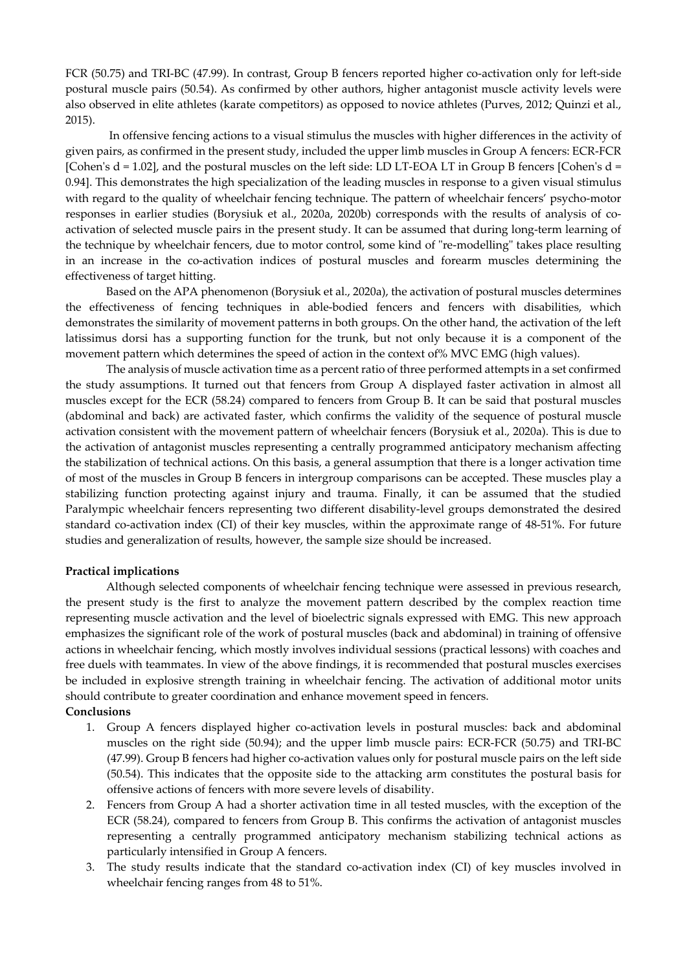FCR (50.75) and TRI-BC (47.99). In contrast, Group B fencers reported higher co-activation only for left-side postural muscle pairs (50.54). As confirmed by other authors, higher antagonist muscle activity levels were also observed in elite athletes (karate competitors) as opposed to novice athletes (Purves, 2012; Quinzi et al., 2015).

 In offensive fencing actions to a visual stimulus the muscles with higher differences in the activity of given pairs, as confirmed in the present study, included the upper limb muscles in Group A fencers: ECR-FCR [Cohen's  $d = 1.02$ ], and the postural muscles on the left side: LD LT-EOA LT in Group B fencers [Cohen's  $d =$ 0.94]. This demonstrates the high specialization of the leading muscles in response to a given visual stimulus with regard to the quality of wheelchair fencing technique. The pattern of wheelchair fencers' psycho-motor responses in earlier studies (Borysiuk et al., 2020a, 2020b) corresponds with the results of analysis of coactivation of selected muscle pairs in the present study. It can be assumed that during long-term learning of the technique by wheelchair fencers, due to motor control, some kind of "re-modelling" takes place resulting in an increase in the co-activation indices of postural muscles and forearm muscles determining the effectiveness of target hitting.

Based on the APA phenomenon (Borysiuk et al., 2020a), the activation of postural muscles determines the effectiveness of fencing techniques in able-bodied fencers and fencers with disabilities, which demonstrates the similarity of movement patterns in both groups. On the other hand, the activation of the left latissimus dorsi has a supporting function for the trunk, but not only because it is a component of the movement pattern which determines the speed of action in the context of% MVC EMG (high values).

The analysis of muscle activation time as a percent ratio of three performed attempts in a set confirmed the study assumptions. It turned out that fencers from Group A displayed faster activation in almost all muscles except for the ECR (58.24) compared to fencers from Group B. It can be said that postural muscles (abdominal and back) are activated faster, which confirms the validity of the sequence of postural muscle activation consistent with the movement pattern of wheelchair fencers (Borysiuk et al., 2020a). This is due to the activation of antagonist muscles representing a centrally programmed anticipatory mechanism affecting the stabilization of technical actions. On this basis, a general assumption that there is a longer activation time of most of the muscles in Group B fencers in intergroup comparisons can be accepted. These muscles play a stabilizing function protecting against injury and trauma. Finally, it can be assumed that the studied Paralympic wheelchair fencers representing two different disability-level groups demonstrated the desired standard co-activation index (CI) of their key muscles, within the approximate range of 48-51%. For future studies and generalization of results, however, the sample size should be increased.

#### **Practical implications**

Although selected components of wheelchair fencing technique were assessed in previous research, the present study is the first to analyze the movement pattern described by the complex reaction time representing muscle activation and the level of bioelectric signals expressed with EMG. This new approach emphasizes the significant role of the work of postural muscles (back and abdominal) in training of offensive actions in wheelchair fencing, which mostly involves individual sessions (practical lessons) with coaches and free duels with teammates. In view of the above findings, it is recommended that postural muscles exercises be included in explosive strength training in wheelchair fencing. The activation of additional motor units should contribute to greater coordination and enhance movement speed in fencers.

# **Conclusions**

- 1. Group A fencers displayed higher co-activation levels in postural muscles: back and abdominal muscles on the right side (50.94); and the upper limb muscle pairs: ECR-FCR (50.75) and TRI-BC (47.99). Group B fencers had higher co-activation values only for postural muscle pairs on the left side (50.54). This indicates that the opposite side to the attacking arm constitutes the postural basis for offensive actions of fencers with more severe levels of disability.
- 2. Fencers from Group A had a shorter activation time in all tested muscles, with the exception of the ECR (58.24), compared to fencers from Group B. This confirms the activation of antagonist muscles representing a centrally programmed anticipatory mechanism stabilizing technical actions as particularly intensified in Group A fencers.
- 3. The study results indicate that the standard co-activation index (CI) of key muscles involved in wheelchair fencing ranges from 48 to 51%.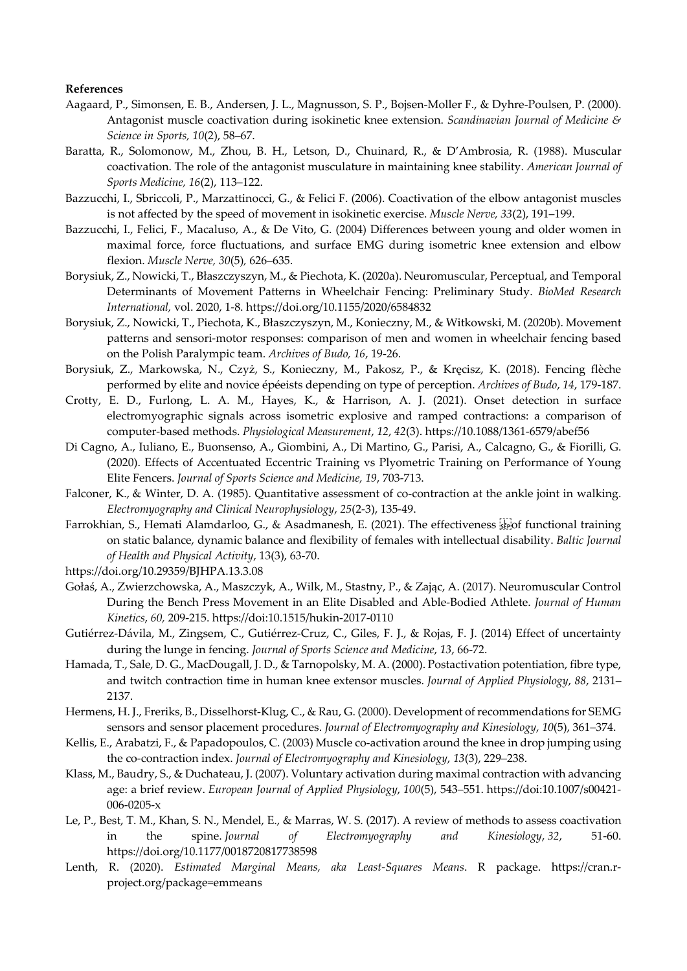#### **References**

- Aagaard, P., Simonsen, E. B., Andersen, J. L., Magnusson, S. P., Bojsen-Moller F., & Dyhre-Poulsen, P. (2000). Antagonist muscle coactivation during isokinetic knee extension. *Scandinavian Journal of Medicine & Science in Sports, 10*(2), 58–67.
- Baratta, R., Solomonow, M., Zhou, B. H., Letson, D., Chuinard, R., & D'Ambrosia, R. (1988). Muscular coactivation. The role of the antagonist musculature in maintaining knee stability. *American Journal of Sports Medicine, 16*(2), 113–122.
- Bazzucchi, I., Sbriccoli, P., Marzattinocci, G., & Felici F. (2006). Coactivation of the elbow antagonist muscles is not affected by the speed of movement in isokinetic exercise. *Muscle Nerve, 33*(2), 191–199.
- Bazzucchi, I., Felici, F., Macaluso, A., & De Vito, G. (2004) Differences between young and older women in maximal force, force fluctuations, and surface EMG during isometric knee extension and elbow flexion. *Muscle Nerve, 30*(5)*,* 626–635.
- Borysiuk, Z., Nowicki, T., Błaszczyszyn, M., & Piechota, K. (2020a). Neuromuscular, Perceptual, and Temporal Determinants of Movement Patterns in Wheelchair Fencing: Preliminary Study. *BioMed Research International,* vol. 2020, 1-8. https://doi.org/10.1155/2020/6584832
- Borysiuk, Z., Nowicki, T., Piechota, K., Błaszczyszyn, M., Konieczny, M., & Witkowski, M. (2020b). Movement patterns and sensori-motor responses: comparison of men and women in wheelchair fencing based on the Polish Paralympic team. *Archives of Budo, 16*, 19-26.
- Borysiuk, Z., Markowska, N., Czyż, S., Konieczny, M., Pakosz, P., & Kręcisz, K. (2018). Fencing flèche performed by elite and novice épéeists depending on type of perception. *Archives of Budo*, *14*, 179-187.
- Crotty, E. D., Furlong, L. A. M., Hayes, K., & Harrison, A. J. (2021). Onset detection in surface electromyographic signals across isometric explosive and ramped contractions: a comparison of computer-based methods. *Physiological Measurement*, *12*, *42*(3). https://10.1088/1361-6579/abef56
- Di Cagno, A., Iuliano, E., Buonsenso, A., Giombini, A., Di Martino, G., Parisi, A., Calcagno, G., & Fiorilli, G. (2020). Effects of Accentuated Eccentric Training vs Plyometric Training on Performance of Young Elite Fencers. *Journal of Sports Science and Medicine, 19*, 703-713.
- Falconer, K., & Winter, D. A. (1985). Quantitative assessment of co-contraction at the ankle joint in walking. *Electromyography and Clinical Neurophysiology*, *25*(2-3), 135-49.
- Farrokhian, S., Hemati Alamdarloo, G., & Asadmanesh, E. (2021). The effectiveness step functional training on static balance, dynamic balance and flexibility of females with intellectual disability. *Baltic Journal of Health and Physical Activity*, 13(3), 63-70.
- https://doi.org/10.29359/BJHPA.13.3.08
- Gołaś, A., Zwierzchowska, A., Maszczyk, A., Wilk, M., Stastny, P., & Zając, A. (2017). Neuromuscular Control During the Bench Press Movement in an Elite Disabled and Able-Bodied Athlete. *Journal of Human Kinetics*, *60,* 209-215. https://doi:10.1515/hukin-2017-0110
- Gutiérrez-Dávila, M., Zingsem, C., Gutiérrez-Cruz, C., Giles, F. J., & Rojas, F. J. (2014) Effect of uncertainty during the lunge in fencing. *Journal of Sports Science and Medicine*, *13*, 66-72.
- Hamada, T., Sale, D. G., MacDougall, J. D., & Tarnopolsky, M. A. (2000). Postactivation potentiation, fibre type, and twitch contraction time in human knee extensor muscles. *Journal of Applied Physiology*, *88*, 2131– 2137.
- Hermens, H. J., Freriks, B., Disselhorst-Klug, C., & Rau, G. (2000). Development of recommendations for SEMG sensors and sensor placement procedures. *Journal of Electromyography and Kinesiology*, *10*(5), 361–374.
- Kellis, E., Arabatzi, F., & Papadopoulos, C. (2003) Muscle co-activation around the knee in drop jumping using the co-contraction index. *Journal of Electromyography and Kinesiology*, *13*(3), 229–238.
- Klass, M., Baudry, S., & Duchateau, J. (2007). Voluntary activation during maximal contraction with advancing age: a brief review. *European Journal of Applied Physiology*, *100*(5), 543–551. https://doi:10.1007/s00421- 006-0205-x
- Le, P., Best, T. M., Khan, S. N., Mendel, E., & Marras, W. S. (2017). A review of methods to assess coactivation in the spine. *Journal of Electromyography and Kinesiology*, *32*, 51-60. https://doi.org/10.1177/0018720817738598
- Lenth, R. (2020). *Estimated Marginal Means, aka Least-Squares Means*. R package. https://cran.rproject.org/package=emmeans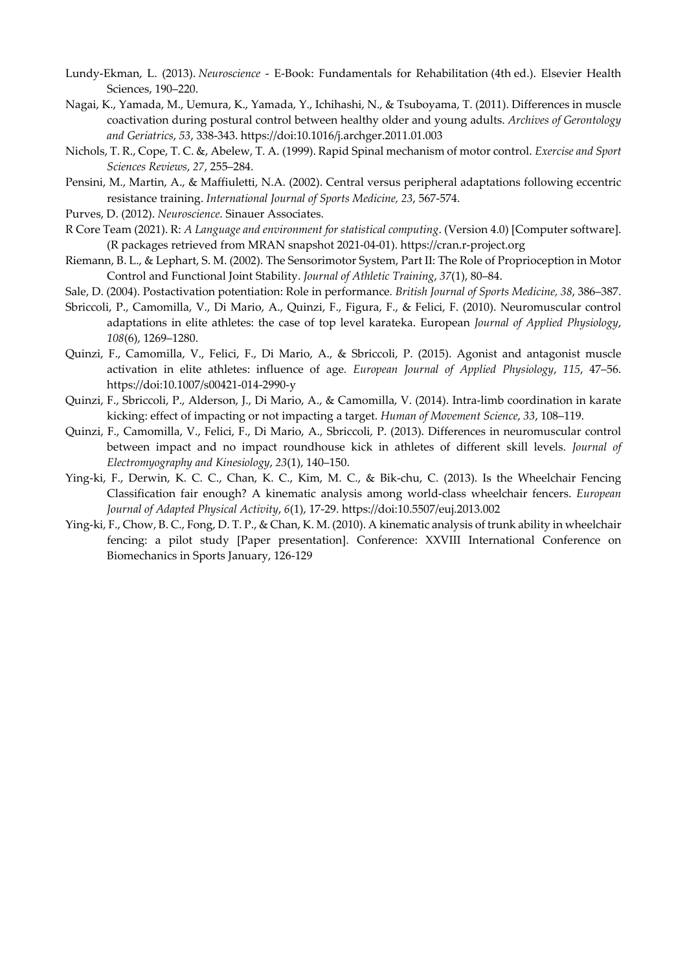- Lundy-Ekman, L. (2013). *Neuroscience* E-Book: Fundamentals for Rehabilitation (4th ed.). Elsevier Health Sciences, 190–220.
- Nagai, K., Yamada, M., Uemura, K., Yamada, Y., Ichihashi, N., & Tsuboyama, T. (2011). Differences in muscle coactivation during postural control between healthy older and young adults. *Archives of Gerontology and Geriatrics*, *53*, 338-343. https://doi:10.1016/j.archger.2011.01.003
- Nichols, T. R., Cope, T. C. &, Abelew, T. A. (1999). Rapid Spinal mechanism of motor control. *Exercise and Sport Sciences Reviews*, *27*, 255–284.
- Pensini, M., Martin, A., & Maffiuletti, N.A. (2002). Central versus peripheral adaptations following eccentric resistance training. *International Journal of Sports Medicine, 23*, 567-574.
- Purves, D. (2012). *Neuroscience*. Sinauer Associates.
- R Core Team (2021). R: *A Language and environment for statistical computing*. (Version 4.0) [Computer software]. (R packages retrieved from MRAN snapshot 2021-04-01). https://cran.r-project.org
- Riemann, B. L., & Lephart, S. M. (2002). The Sensorimotor System, Part II: The Role of Proprioception in Motor Control and Functional Joint Stability. *Journal of Athletic Training*, *37*(1), 80–84.
- Sale, D. (2004). Postactivation potentiation: Role in performance*. British Journal of Sports Medicine, 38*, 386–387.
- Sbriccoli, P., Camomilla, V., Di Mario, A., Quinzi, F., Figura, F., & Felici, F. (2010). Neuromuscular control adaptations in elite athletes: the case of top level karateka. European *Journal of Applied Physiology*, *108*(6), 1269–1280.
- Quinzi, F., Camomilla, V., Felici, F., Di Mario, A., & Sbriccoli, P. (2015). Agonist and antagonist muscle activation in elite athletes: influence of age*. European Journal of Applied Physiology*, *115*, 47–56. https://doi:10.1007/s00421-014-2990-y
- Quinzi, F., Sbriccoli, P., Alderson, J., Di Mario, A., & Camomilla, V. (2014). Intra-limb coordination in karate kicking: effect of impacting or not impacting a target. *Human of Movement Science*, *33*, 108–119.
- Quinzi, F., Camomilla, V., Felici, F., Di Mario, A., Sbriccoli, P. (2013). Differences in neuromuscular control between impact and no impact roundhouse kick in athletes of different skill levels. *Journal of Electromyography and Kinesiology*, *23*(1), 140–150.
- Ying-ki, F., Derwin, K. C. C., Chan, K. C., Kim, M. C., & Bik-chu, C. (2013). Is the Wheelchair Fencing Classification fair enough? A kinematic analysis among world-class wheelchair fencers. *European Journal of Adapted Physical Activity*, *6*(1), 17-29. https://doi:10.5507/euj.2013.002
- Ying-ki, F., Chow, B. C., Fong, D. T. P., & Chan, K. M. (2010). A kinematic analysis of trunk ability in wheelchair fencing: a pilot study [Paper presentation]. Conference: XXVIII International Conference on Biomechanics in Sports January, 126-129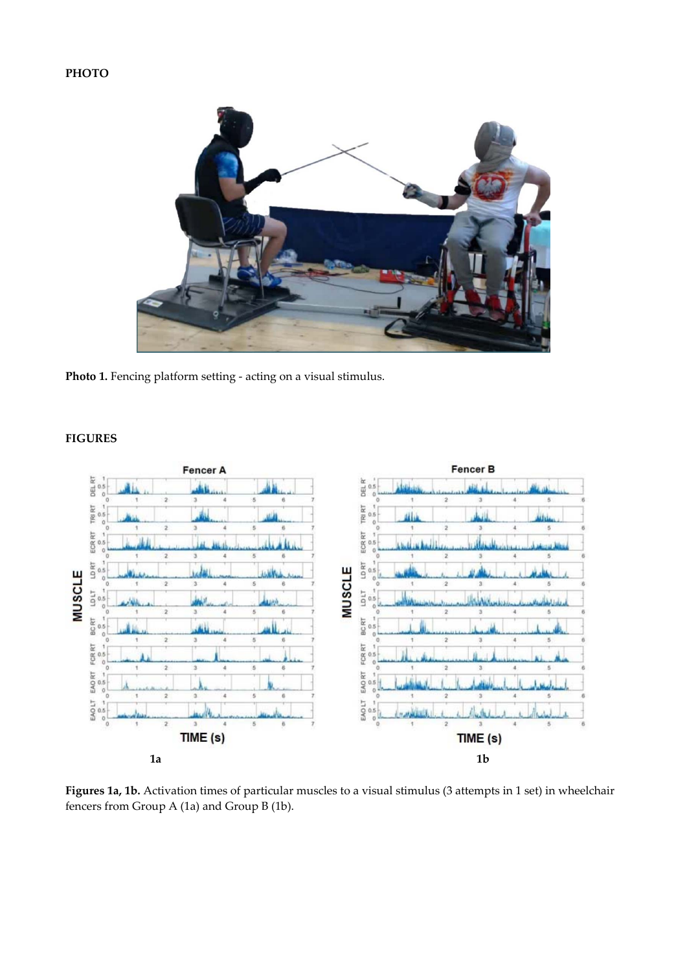# **PHOTO**



Photo 1. Fencing platform setting - acting on a visual stimulus.

# **FIGURES**



**Figures 1a, 1b.** Activation times of particular muscles to a visual stimulus (3 attempts in 1 set) in wheelchair fencers from Group A (1a) and Group B (1b).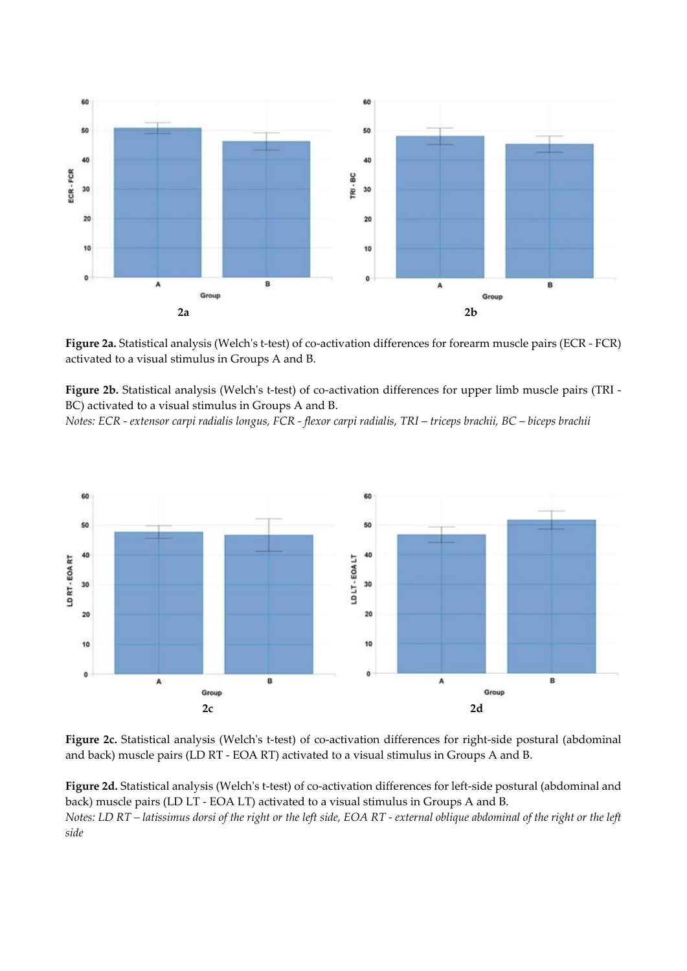

**Figure 2a.** Statistical analysis (Welch's t-test) of co-activation differences for forearm muscle pairs (ECR - FCR) activated to a visual stimulus in Groups A and B.

**Figure 2b.** Statistical analysis (Welch's t-test) of co-activation differences for upper limb muscle pairs (TRI - BC) activated to a visual stimulus in Groups A and B.

*Notes: ECR - extensor carpi radialis longus, FCR - flexor carpi radialis, TRI – triceps brachii, BC – biceps brachii* 



**Figure 2c.** Statistical analysis (Welch's t-test) of co-activation differences for right-side postural (abdominal and back) muscle pairs (LD RT - EOA RT) activated to a visual stimulus in Groups A and B.

**Figure 2d.** Statistical analysis (Welch's t-test) of co-activation differences for left-side postural (abdominal and back) muscle pairs (LD LT - EOA LT) activated to a visual stimulus in Groups A and B. *Notes: LD RT – latissimus dorsi of the right or the left side, EOA RT - external oblique abdominal of the right or the left side*